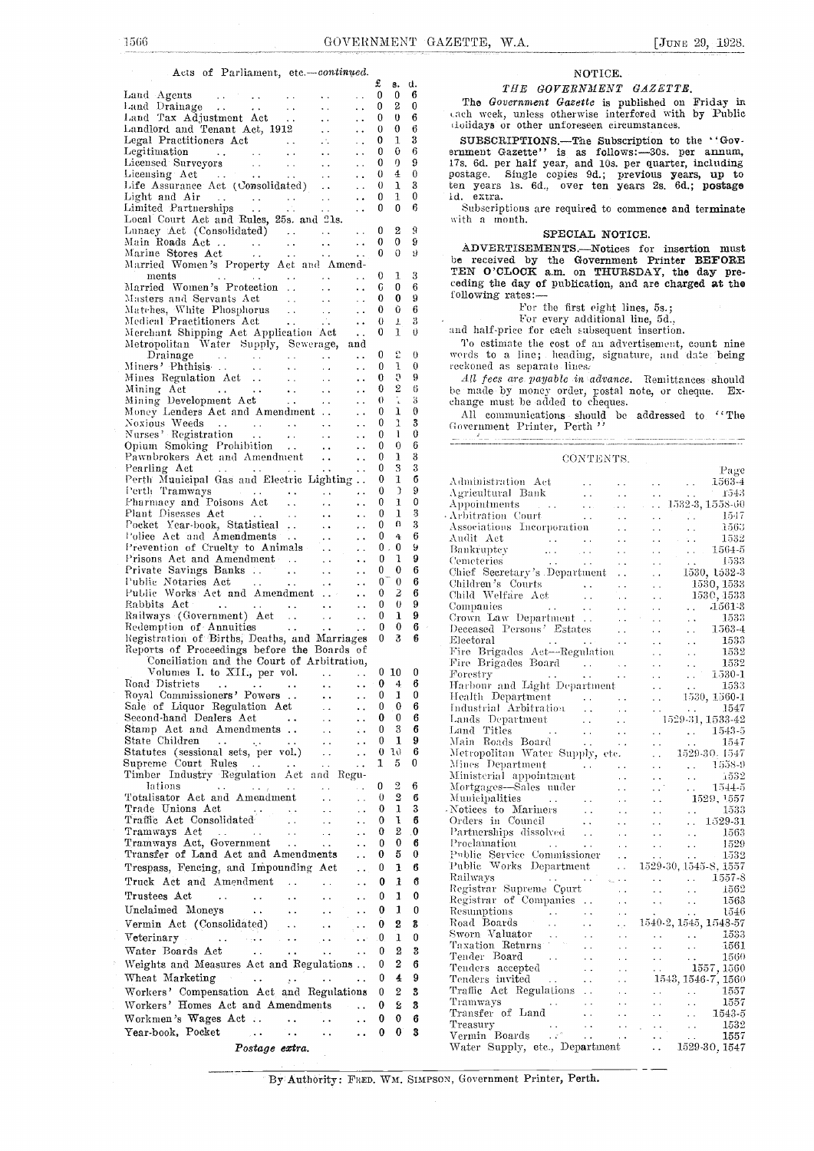### Acts of Parliament, etc.-continued.

| $\mathfrak{L}$ and $\mathfrak{L}$ and $\mathfrak{L}$                                                                                                                                                                                                           |                                  |              | THE GOVERNMENT GAZETTE.                                                                                                                                                                                                                                                                                                                                                                                                                                                                                                                                     |
|----------------------------------------------------------------------------------------------------------------------------------------------------------------------------------------------------------------------------------------------------------------|----------------------------------|--------------|-------------------------------------------------------------------------------------------------------------------------------------------------------------------------------------------------------------------------------------------------------------------------------------------------------------------------------------------------------------------------------------------------------------------------------------------------------------------------------------------------------------------------------------------------------------|
|                                                                                                                                                                                                                                                                |                                  |              |                                                                                                                                                                                                                                                                                                                                                                                                                                                                                                                                                             |
|                                                                                                                                                                                                                                                                |                                  |              | The Government Gazette is published on Friday in                                                                                                                                                                                                                                                                                                                                                                                                                                                                                                            |
|                                                                                                                                                                                                                                                                |                                  |              | cach week, unless otherwise interfered with by Public                                                                                                                                                                                                                                                                                                                                                                                                                                                                                                       |
|                                                                                                                                                                                                                                                                |                                  |              | dolidays or other unforeseen circumstances.                                                                                                                                                                                                                                                                                                                                                                                                                                                                                                                 |
|                                                                                                                                                                                                                                                                |                                  |              | SUBSCRIPTIONS.—The Subscription to the ''Gov-                                                                                                                                                                                                                                                                                                                                                                                                                                                                                                               |
|                                                                                                                                                                                                                                                                |                                  |              | ernment Gazette'' is as follows:-30s. per annum,                                                                                                                                                                                                                                                                                                                                                                                                                                                                                                            |
|                                                                                                                                                                                                                                                                |                                  |              | 17s. 6d. per half year, and 10s. per quarter, including                                                                                                                                                                                                                                                                                                                                                                                                                                                                                                     |
|                                                                                                                                                                                                                                                                |                                  |              | postage. Single copies 9d.; previous years, up to                                                                                                                                                                                                                                                                                                                                                                                                                                                                                                           |
|                                                                                                                                                                                                                                                                |                                  |              | ten years 1s. 6d., over ten years 2s. 6d.; postage                                                                                                                                                                                                                                                                                                                                                                                                                                                                                                          |
|                                                                                                                                                                                                                                                                |                                  |              | id. extra.                                                                                                                                                                                                                                                                                                                                                                                                                                                                                                                                                  |
|                                                                                                                                                                                                                                                                |                                  |              | Subscriptions are required to commence and terminate                                                                                                                                                                                                                                                                                                                                                                                                                                                                                                        |
|                                                                                                                                                                                                                                                                |                                  |              | with a month.                                                                                                                                                                                                                                                                                                                                                                                                                                                                                                                                               |
|                                                                                                                                                                                                                                                                |                                  |              | SPECIAL NOTICE.                                                                                                                                                                                                                                                                                                                                                                                                                                                                                                                                             |
| Main Roads Act 0 0 9<br>Marine Stores Act 0 0 9                                                                                                                                                                                                                |                                  |              | ADVERTISEMENTS.-Notices for insertion must                                                                                                                                                                                                                                                                                                                                                                                                                                                                                                                  |
|                                                                                                                                                                                                                                                                |                                  |              | be received by the Government Printer BEFORE                                                                                                                                                                                                                                                                                                                                                                                                                                                                                                                |
| Married Women's Property Act and Amend-                                                                                                                                                                                                                        |                                  |              | TEN O'CLOCK a.m. on THURSDAY, the day pre-                                                                                                                                                                                                                                                                                                                                                                                                                                                                                                                  |
| $\ldots$ . $\ldots$ $\ldots$ $\ldots$ $\ldots$ 0 1 3<br>ments                                                                                                                                                                                                  |                                  |              | ceding the day of publication, and are charged at the                                                                                                                                                                                                                                                                                                                                                                                                                                                                                                       |
| Married Women's Protection  0 0 6                                                                                                                                                                                                                              |                                  |              | following rates:-                                                                                                                                                                                                                                                                                                                                                                                                                                                                                                                                           |
| Masters and Servants Act (2008) 1986. The Masters and Servants Act (2008) 2008.                                                                                                                                                                                |                                  |              |                                                                                                                                                                                                                                                                                                                                                                                                                                                                                                                                                             |
| Matches, White Phosphorus   0 0 6<br>Medical Practitioners Act    0 1 3                                                                                                                                                                                        |                                  |              | For the first eight lines, 5s.;                                                                                                                                                                                                                                                                                                                                                                                                                                                                                                                             |
|                                                                                                                                                                                                                                                                |                                  |              | For every additional line, 5d.,                                                                                                                                                                                                                                                                                                                                                                                                                                                                                                                             |
| Merchant Shipping Act Application Act  0 1<br>Metropolitan Water Supply, Sewerage, and                                                                                                                                                                         |                                  | $\theta$     | and half-price for each subsequent insertion.                                                                                                                                                                                                                                                                                                                                                                                                                                                                                                               |
|                                                                                                                                                                                                                                                                |                                  |              | To estimate the cost of an advertisement, count nine                                                                                                                                                                                                                                                                                                                                                                                                                                                                                                        |
| $\begin{tabular}{lcccccc} Drainage & . & . & . & . & . & . & . & 0 & 2 & 0 \\ \text{Miners}' & \text{Phthisis} & . & . & . & . & . & . & 0 & 1 & 0 \\ \end{tabular}$                                                                                           |                                  |              | words to a line; heading, signature, and date being                                                                                                                                                                                                                                                                                                                                                                                                                                                                                                         |
|                                                                                                                                                                                                                                                                |                                  |              | reckoned as separate lines.                                                                                                                                                                                                                                                                                                                                                                                                                                                                                                                                 |
|                                                                                                                                                                                                                                                                |                                  |              | All fees are payable in advance. Remittances should                                                                                                                                                                                                                                                                                                                                                                                                                                                                                                         |
|                                                                                                                                                                                                                                                                |                                  |              | be made by money order, postal note, or cheque. Ex-                                                                                                                                                                                                                                                                                                                                                                                                                                                                                                         |
|                                                                                                                                                                                                                                                                |                                  |              | change must be added to cheques.                                                                                                                                                                                                                                                                                                                                                                                                                                                                                                                            |
|                                                                                                                                                                                                                                                                |                                  |              | All communications should be addressed to ''The Government Printer, Perth $^{\prime\prime}$                                                                                                                                                                                                                                                                                                                                                                                                                                                                 |
| Noxious Weeds<br>Murses' Registration<br>$\ldots$ , $\ldots$ , $\qquad \qquad 0$ 1 3<br>Murses' Registration                                                                                                                                                   |                                  |              |                                                                                                                                                                                                                                                                                                                                                                                                                                                                                                                                                             |
|                                                                                                                                                                                                                                                                |                                  |              | $\frac{1}{2}$                                                                                                                                                                                                                                                                                                                                                                                                                                                                                                                                               |
| Opium Smoking Prohibition 0 0<br>Pawnbrokers Act and Amendment 0 1                                                                                                                                                                                             |                                  | - 6          |                                                                                                                                                                                                                                                                                                                                                                                                                                                                                                                                                             |
|                                                                                                                                                                                                                                                                |                                  | -3           | CONTENTS.                                                                                                                                                                                                                                                                                                                                                                                                                                                                                                                                                   |
| Pearling Act 1.1     0 3 3                                                                                                                                                                                                                                     |                                  |              | Page                                                                                                                                                                                                                                                                                                                                                                                                                                                                                                                                                        |
| Perth Municipal Gas and Electric Lighting  0 1 6                                                                                                                                                                                                               |                                  |              |                                                                                                                                                                                                                                                                                                                                                                                                                                                                                                                                                             |
| Perth Tramways    0 0 Pharmacy and Poisons Act   0 1                                                                                                                                                                                                           |                                  | $\Omega$     |                                                                                                                                                                                                                                                                                                                                                                                                                                                                                                                                                             |
|                                                                                                                                                                                                                                                                |                                  | $\mathbf 0$  |                                                                                                                                                                                                                                                                                                                                                                                                                                                                                                                                                             |
|                                                                                                                                                                                                                                                                |                                  | 3            | $\begin{tabular}{l l l l} \multicolumn{1}{c}{ \textbf{A}} \textbf{d} & \textbf{B} \textbf{a} & \textbf{B} \textbf{a} \\ \textbf{A} \textbf{g} \textbf{r} \textbf{i} & \textbf{B} \textbf{a} \textbf{h} & \textbf{B} \textbf{a} \\ \textbf{A} \textbf{p} \textbf{b} \textbf{i} & \textbf{B} \textbf{a} & \textbf{B} \textbf{a} & \textbf{B} \textbf{a} \\ \textbf{A} \textbf{b} \textbf{i} & \textbf{A} \textbf{b} & \textbf{B} \text$                                                                                                                       |
|                                                                                                                                                                                                                                                                |                                  | 3            |                                                                                                                                                                                                                                                                                                                                                                                                                                                                                                                                                             |
|                                                                                                                                                                                                                                                                |                                  | 6            |                                                                                                                                                                                                                                                                                                                                                                                                                                                                                                                                                             |
|                                                                                                                                                                                                                                                                |                                  | Y            |                                                                                                                                                                                                                                                                                                                                                                                                                                                                                                                                                             |
| Prisons Act and Amendment 0 1                                                                                                                                                                                                                                  |                                  | 9            |                                                                                                                                                                                                                                                                                                                                                                                                                                                                                                                                                             |
| Private Savings Banks 0 0                                                                                                                                                                                                                                      |                                  | 6            |                                                                                                                                                                                                                                                                                                                                                                                                                                                                                                                                                             |
| Public Notaries Act    0 0 6<br>Public Works Act and Amendment   0 2 6                                                                                                                                                                                         |                                  |              | Children's Courts   1530, 1533<br>Child Welfare Act   1530, 1533                                                                                                                                                                                                                                                                                                                                                                                                                                                                                            |
|                                                                                                                                                                                                                                                                |                                  |              |                                                                                                                                                                                                                                                                                                                                                                                                                                                                                                                                                             |
| Rabbits Act 0 0 9                                                                                                                                                                                                                                              |                                  |              |                                                                                                                                                                                                                                                                                                                                                                                                                                                                                                                                                             |
| Railways (Government) Act   0 1 9<br>Redemption of Annuities   0 0 6                                                                                                                                                                                           |                                  |              |                                                                                                                                                                                                                                                                                                                                                                                                                                                                                                                                                             |
|                                                                                                                                                                                                                                                                |                                  |              |                                                                                                                                                                                                                                                                                                                                                                                                                                                                                                                                                             |
| Registration of Births, Deaths, and Marriages 0 3 6                                                                                                                                                                                                            |                                  |              |                                                                                                                                                                                                                                                                                                                                                                                                                                                                                                                                                             |
| Reports of Proceedings before the Boards of<br>Conciliation and the Court of Arbitration,                                                                                                                                                                      |                                  |              |                                                                                                                                                                                                                                                                                                                                                                                                                                                                                                                                                             |
|                                                                                                                                                                                                                                                                |                                  |              |                                                                                                                                                                                                                                                                                                                                                                                                                                                                                                                                                             |
| Volumes I. to XII., per vol. $\ldots$ $\ldots$ 0 10 0                                                                                                                                                                                                          |                                  |              |                                                                                                                                                                                                                                                                                                                                                                                                                                                                                                                                                             |
|                                                                                                                                                                                                                                                                |                                  |              |                                                                                                                                                                                                                                                                                                                                                                                                                                                                                                                                                             |
| Royal Commissioners' Powers  0 1 0                                                                                                                                                                                                                             |                                  |              | $-1530, 1560-1$<br>Health Department<br>$\sim$ $\sim$<br>$\sim$ $\sim$                                                                                                                                                                                                                                                                                                                                                                                                                                                                                      |
| Sale of Liquor Regulation Act<br>$\ddotsc$<br>$\ddotsc$                                                                                                                                                                                                        | $\mathbf{0}$<br>0                | 6            | Industrial Arbitration<br><b>Service State</b><br>1547<br>$\sim 10$                                                                                                                                                                                                                                                                                                                                                                                                                                                                                         |
| Second-hand Dealers Act<br>$\sim$ $\sim$<br>$\ddot{\phantom{a}}$                                                                                                                                                                                               | 0<br>0                           | 6            | Lands Department<br>1529-31, 1533-42<br>$\sim$ $\sim$                                                                                                                                                                                                                                                                                                                                                                                                                                                                                                       |
| Stamp Act and Amendments<br>$\sim 100$<br>$\mathcal{L}(\mathbf{x})$                                                                                                                                                                                            | 3<br>0                           | 6            | Land Titles<br><b>Service</b><br><b>Service Control</b><br>1543-5<br><b>Contractor</b><br><b>Carlos Committee</b>                                                                                                                                                                                                                                                                                                                                                                                                                                           |
| State Children<br>$\ddotsc$                                                                                                                                                                                                                                    | 0<br>1                           | 9            | Main Roads Board<br>1547<br>$\sim 10^{-11}$                                                                                                                                                                                                                                                                                                                                                                                                                                                                                                                 |
| Statutes (sessional sets, per vol.)<br>$\sim 10$<br>$\overline{1}$ .                                                                                                                                                                                           | $\theta$<br>10<br>$\overline{5}$ | 6            | Metropolitan Water Supply, etc.<br>$\sim 10$<br>1529-30.1547                                                                                                                                                                                                                                                                                                                                                                                                                                                                                                |
| Supreme Court Rules<br>$\sim 10$<br>$\ddot{\phantom{a}}$ .                                                                                                                                                                                                     | 1                                | 0            | Miues Department<br>1558-9<br>$\sim 10^{-11}$                                                                                                                                                                                                                                                                                                                                                                                                                                                                                                               |
| Timber Industry Regulation Act and Regu-                                                                                                                                                                                                                       |                                  |              | Ministerial appointment<br>1532<br><b>Contractor</b><br>$\sim 10^{-11}$<br>$\sim$ $\sim$                                                                                                                                                                                                                                                                                                                                                                                                                                                                    |
| lations $\cdots$ $\cdots$<br>$\ddot{\phantom{a}}$<br>$\Delta$ and $\Delta$                                                                                                                                                                                     | $\overline{2}$<br>0              | 6            | Mortgages—Sales under<br>$\sim 10^6$<br>1544-5<br>$\sim 10^{-1}$                                                                                                                                                                                                                                                                                                                                                                                                                                                                                            |
| Totalisator Act and Amendment<br>$\sim 10$                                                                                                                                                                                                                     | $\theta$<br>2                    | б            | Municipalities<br>and the contract of the contract of<br>1529, 1557                                                                                                                                                                                                                                                                                                                                                                                                                                                                                         |
| Trade Unions Act (1999)<br>Traffic Act Consolidated (1999)<br>Tramways Act (1999)                                                                                                                                                                              | $\bf{0}$<br>1                    | 3            | 1533<br>$\sim 10^{-10}$                                                                                                                                                                                                                                                                                                                                                                                                                                                                                                                                     |
|                                                                                                                                                                                                                                                                | $\mathbf{I}$<br>$\theta$         | 6            | Orders in Council<br>$\ldots$ 1529-31<br>$\Delta\Delta\sim 10$                                                                                                                                                                                                                                                                                                                                                                                                                                                                                              |
|                                                                                                                                                                                                                                                                | 2<br>$\bf{0}$                    | .0           | Partnerships dissolved<br>1563<br>$\sim 10^{-1}$<br>$\sim 10$                                                                                                                                                                                                                                                                                                                                                                                                                                                                                               |
| Tramways Act, Government<br>$\sim 10^{-1}$                                                                                                                                                                                                                     | $\bf{0}$<br>0                    | 6            | Proclamation<br>1529<br>$\sim 10$<br>$\sim 10$                                                                                                                                                                                                                                                                                                                                                                                                                                                                                                              |
| Transfer of Land Act and Amendments<br>$\sim 10^{-1}$                                                                                                                                                                                                          | 5<br>$\bf{0}$                    | $\bf{0}$     | Public Service Commissioner<br>$\sim$ $\sim$<br>1532                                                                                                                                                                                                                                                                                                                                                                                                                                                                                                        |
| Trespass, Fencing, and Impounding Act<br>$\mathcal{L}_{\mathcal{A}}$ .                                                                                                                                                                                         | $\mathbf{1}$<br>$\bf{0}$         | 6            | Public Works Department 1529-30, 1545-8, 1557                                                                                                                                                                                                                                                                                                                                                                                                                                                                                                               |
| Truck Act and Amendment<br>$\sim$ $\sim$                                                                                                                                                                                                                       | 1<br>0                           | 6            | Railways and the contract of the contract of the contract of the contract of the contract of the contract of the contract of the contract of the contract of the contract of the contract of the contract of the contract of t<br>1557-8<br>$\sim 10$                                                                                                                                                                                                                                                                                                       |
| Trustees Act<br>$\mathcal{L}^{\mathcal{A}}$ . The contract of the contract of the $\mathcal{L}^{\mathcal{A}}$<br>$\ddotsc$                                                                                                                                     | 1<br>0                           | 0            | Registrar Supreme Court<br>1562<br>$\sim$ $\sim$                                                                                                                                                                                                                                                                                                                                                                                                                                                                                                            |
|                                                                                                                                                                                                                                                                | 1                                |              | 1563<br>$\sim 10$                                                                                                                                                                                                                                                                                                                                                                                                                                                                                                                                           |
| Unclaimed Moneys<br>$\ddot{\phantom{a}}$ .                                                                                                                                                                                                                     | 0                                | $\bf{0}$     | ${\bf Resumptions} \qquad \qquad \ldots \qquad \qquad \ldots \qquad \qquad \ldots \qquad \ldots \qquad \ldots \qquad \ldots \qquad \ldots \qquad \ldots \qquad \ldots \qquad \ldots \qquad \ldots \qquad \ldots \qquad \ldots \qquad \ldots \qquad \ldots \qquad \ldots \qquad \ldots \qquad \ldots \qquad \ldots \qquad \ldots \qquad \ldots \qquad \ldots \qquad \ldots \qquad \ldots \qquad \ldots \qquad \ldots \qquad \ldots \qquad \ldots \qquad \ldots \qquad \ldots \qquad \ldots \qquad \ldots \qquad \ldots \qquad \ldots \$<br>1546<br>$\sim 10$ |
| Vermin Act (Consolidated)<br>$\sim$ $\sim$                                                                                                                                                                                                                     | 2<br>$\bf{0}$                    | $\mathbf{3}$ | Road Boards 1540-2, 1545, 1548-57                                                                                                                                                                                                                                                                                                                                                                                                                                                                                                                           |
|                                                                                                                                                                                                                                                                | $\mathbf{0}$<br>$\mathbf{1}$     | $\mathbf{0}$ | 1533                                                                                                                                                                                                                                                                                                                                                                                                                                                                                                                                                        |
|                                                                                                                                                                                                                                                                | $\bf{0}$<br>2                    | 3            | Taxation Returns<br>$\sim 10^{-1}$<br>$\sim$ $\sim$<br>1561                                                                                                                                                                                                                                                                                                                                                                                                                                                                                                 |
| Weights and Measures Act and Regulations                                                                                                                                                                                                                       | $\boldsymbol{2}$<br>$\bf{0}$     | -6           | $\mathcal{L}(\mathcal{A},\mathcal{A})$ . The contribution of $\mathcal{A}$<br>Tender Board<br>1560<br>$\sim 10^{-1}$<br><b>Contract</b>                                                                                                                                                                                                                                                                                                                                                                                                                     |
|                                                                                                                                                                                                                                                                |                                  |              |                                                                                                                                                                                                                                                                                                                                                                                                                                                                                                                                                             |
|                                                                                                                                                                                                                                                                | $\overline{4}$                   | 9            |                                                                                                                                                                                                                                                                                                                                                                                                                                                                                                                                                             |
| Workers' Compensation Act and Regulations 0                                                                                                                                                                                                                    | $^{2}$                           | -3           | 1557                                                                                                                                                                                                                                                                                                                                                                                                                                                                                                                                                        |
| Workers' Homes Act and Amendments 0                                                                                                                                                                                                                            | 2                                | 3            | $\sim 10^7$<br>Tramways<br>$\mathcal{L}^{\mathcal{L}}$ , where $\mathcal{L}^{\mathcal{L}}$ is the contribution of the $\mathcal{L}^{\mathcal{L}}$<br>1557                                                                                                                                                                                                                                                                                                                                                                                                   |
|                                                                                                                                                                                                                                                                | $\bf{0}$<br>0                    | 6            | 1543-5                                                                                                                                                                                                                                                                                                                                                                                                                                                                                                                                                      |
| Year-book, Pocket<br>$\mathcal{L}_{\mathbf{A}}$ . The contract of the contract of the contract of the contract of the contract of the contract of the contract of the contract of the contract of the contract of the contract of the contract of the contract | $\bf{0}$<br>$\mathbf{0}$         | -3           | 1532<br>$\sim 10$                                                                                                                                                                                                                                                                                                                                                                                                                                                                                                                                           |
|                                                                                                                                                                                                                                                                |                                  |              | Vermin Boards and the contract of the contract of the contract of the contract of the contract of the contract of the contract of the contract of the contract of the contract of the contract of the contract of the contract<br>1557                                                                                                                                                                                                                                                                                                                      |
| Postage extra.                                                                                                                                                                                                                                                 |                                  |              | Water Supply, etc., Department  1529-30, 1547                                                                                                                                                                                                                                                                                                                                                                                                                                                                                                               |

NOTICE,<br> *THE GOVERNMENT GAZETTE*,<br>
<sup>6</sup> The Consumerate Create is subjected on Friday The Government Gazette is published on Friday in Lach week, unless otherwise interfered with by Public Landlord and Tenant Act, 1912 <sup>0</sup> <sup>0</sup> <sup>6</sup> holidays or other unforeseen circumstances.

|                                                                                                                                                                                                                                                                                                                                   |                          |              | Page                                                                                                                                                                                                                                                                                                                                                                                                                                                   |
|-----------------------------------------------------------------------------------------------------------------------------------------------------------------------------------------------------------------------------------------------------------------------------------------------------------------------------------|--------------------------|--------------|--------------------------------------------------------------------------------------------------------------------------------------------------------------------------------------------------------------------------------------------------------------------------------------------------------------------------------------------------------------------------------------------------------------------------------------------------------|
| Perth Municipal Gas and Electric Lighting 0 1 6                                                                                                                                                                                                                                                                                   |                          |              |                                                                                                                                                                                                                                                                                                                                                                                                                                                        |
| Perth Tramways<br>Pharmacy and Poisons Act (1999) 1999                                                                                                                                                                                                                                                                            |                          | -9           |                                                                                                                                                                                                                                                                                                                                                                                                                                                        |
|                                                                                                                                                                                                                                                                                                                                   |                          | $\Omega$     |                                                                                                                                                                                                                                                                                                                                                                                                                                                        |
|                                                                                                                                                                                                                                                                                                                                   | $\mathbf{1}$<br>$\Omega$ | 3            |                                                                                                                                                                                                                                                                                                                                                                                                                                                        |
|                                                                                                                                                                                                                                                                                                                                   |                          | 3            |                                                                                                                                                                                                                                                                                                                                                                                                                                                        |
| Police Act and Amendments   0 4<br>Prevention of Cruelty to Animals   0 0<br>Prisons Act and Amendment   0 1                                                                                                                                                                                                                      |                          | 6            |                                                                                                                                                                                                                                                                                                                                                                                                                                                        |
|                                                                                                                                                                                                                                                                                                                                   |                          | У            |                                                                                                                                                                                                                                                                                                                                                                                                                                                        |
|                                                                                                                                                                                                                                                                                                                                   |                          | 9            |                                                                                                                                                                                                                                                                                                                                                                                                                                                        |
| Private Savings Banks 0 0<br>Public Notaries Act  0 0<br>Public Works Act and Amendment  . 0 2                                                                                                                                                                                                                                    |                          | 6            |                                                                                                                                                                                                                                                                                                                                                                                                                                                        |
|                                                                                                                                                                                                                                                                                                                                   |                          | 6            |                                                                                                                                                                                                                                                                                                                                                                                                                                                        |
|                                                                                                                                                                                                                                                                                                                                   | $\theta$                 | 6<br>9       |                                                                                                                                                                                                                                                                                                                                                                                                                                                        |
| Rabbits Act     0<br>Railways (Government) Act    0                                                                                                                                                                                                                                                                               | $\mathbf{1}$             | 9            |                                                                                                                                                                                                                                                                                                                                                                                                                                                        |
|                                                                                                                                                                                                                                                                                                                                   | $\mathbf{0}$             | 6            |                                                                                                                                                                                                                                                                                                                                                                                                                                                        |
| Redemption of Annuities 0<br>Registration of Births, Deaths, and Marriages 0 3                                                                                                                                                                                                                                                    |                          | -6           |                                                                                                                                                                                                                                                                                                                                                                                                                                                        |
| Reports of Proceedings before the Boards of                                                                                                                                                                                                                                                                                       |                          |              |                                                                                                                                                                                                                                                                                                                                                                                                                                                        |
| Conciliation and the Court of Arbitration,                                                                                                                                                                                                                                                                                        |                          |              |                                                                                                                                                                                                                                                                                                                                                                                                                                                        |
| Volumes I. to XII., per vol. $\ldots$ 0 10                                                                                                                                                                                                                                                                                        |                          | $\bf{0}$     |                                                                                                                                                                                                                                                                                                                                                                                                                                                        |
|                                                                                                                                                                                                                                                                                                                                   |                          | 6            |                                                                                                                                                                                                                                                                                                                                                                                                                                                        |
|                                                                                                                                                                                                                                                                                                                                   |                          | $\bf{0}$     |                                                                                                                                                                                                                                                                                                                                                                                                                                                        |
|                                                                                                                                                                                                                                                                                                                                   |                          | 6            |                                                                                                                                                                                                                                                                                                                                                                                                                                                        |
|                                                                                                                                                                                                                                                                                                                                   |                          | 6            |                                                                                                                                                                                                                                                                                                                                                                                                                                                        |
| Royal Commissioners' Powers<br>Sale of Liquor Regulation Act<br>Second-hand Dealers Act<br>Stamp Act and Amendments 0 0<br>Stamp Act and Amendments 0 3                                                                                                                                                                           |                          | -6           |                                                                                                                                                                                                                                                                                                                                                                                                                                                        |
|                                                                                                                                                                                                                                                                                                                                   |                          | - 9          |                                                                                                                                                                                                                                                                                                                                                                                                                                                        |
| State Children<br>Statutes (sessional sets, per vol.)   0 10                                                                                                                                                                                                                                                                      |                          | -6           |                                                                                                                                                                                                                                                                                                                                                                                                                                                        |
| Supreme Court Rules $\ldots$ $\ldots$ $\ldots$ $\qquad$ $\qquad$ $\qquad$ $\qquad$ $\qquad$ $\qquad$ $\qquad$ $\qquad$ $\qquad$ $\qquad$ $\qquad$ $\qquad$ $\qquad$ $\qquad$ $\qquad$ $\qquad$ $\qquad$ $\qquad$ $\qquad$ $\qquad$ $\qquad$ $\qquad$ $\qquad$ $\qquad$ $\qquad$ $\qquad$ $\qquad$ $\qquad$ $\qquad$ $\qquad$ $\q$ |                          |              |                                                                                                                                                                                                                                                                                                                                                                                                                                                        |
| Timber Industry Regulation Act and Regu-                                                                                                                                                                                                                                                                                          |                          |              | $\begin{tabular}{lcccccc} Mines & Department & . & . & . & . & . & . & 1558-9 \\ \hline Ministerial & appointment & . & . & . & . & . & . & 1552 \\ Mortgages—Sales & uuder & . & . & . & . & . & 1544-5 \\ \end{tabular}$                                                                                                                                                                                                                             |
| results and the distribution of the distribution of the distribution of the distribution of the distribution of the distribution of the distribution of the distribution of the distribution of the distribution of the distri                                                                                                    |                          |              |                                                                                                                                                                                                                                                                                                                                                                                                                                                        |
|                                                                                                                                                                                                                                                                                                                                   |                          |              |                                                                                                                                                                                                                                                                                                                                                                                                                                                        |
|                                                                                                                                                                                                                                                                                                                                   |                          |              |                                                                                                                                                                                                                                                                                                                                                                                                                                                        |
|                                                                                                                                                                                                                                                                                                                                   |                          |              |                                                                                                                                                                                                                                                                                                                                                                                                                                                        |
|                                                                                                                                                                                                                                                                                                                                   |                          |              |                                                                                                                                                                                                                                                                                                                                                                                                                                                        |
|                                                                                                                                                                                                                                                                                                                                   |                          |              |                                                                                                                                                                                                                                                                                                                                                                                                                                                        |
|                                                                                                                                                                                                                                                                                                                                   |                          |              |                                                                                                                                                                                                                                                                                                                                                                                                                                                        |
| Trespass, Fencing, and Impounding Act  0                                                                                                                                                                                                                                                                                          | $\mathbf{1}$             | 6            |                                                                                                                                                                                                                                                                                                                                                                                                                                                        |
| Truck Act and Amendment  0 1                                                                                                                                                                                                                                                                                                      |                          |              | Muricipalities<br>Muricipalities<br>Notices to Mariners<br>Notices to Mariners<br>Notices to Mariners<br>Notices to Mariners<br>Partnerships dissolved<br>Partnerships dissolved<br>Partnerships dissolved<br>Partnerships dissolved<br>Partners (                                                                                                                                                                                                     |
|                                                                                                                                                                                                                                                                                                                                   |                          | 6            | - 1562                                                                                                                                                                                                                                                                                                                                                                                                                                                 |
| Trustees Act $\cdots$ $\cdots$ $\cdots$ $\cdots$                                                                                                                                                                                                                                                                                  | $\mathbf{1}$             | $\theta$     | $\begin{tabular}{l c c c} \hline \textbf{Registrar Supreme Court} & \textbf{1562} \\ \hline \textbf{Registrar of Companies} & \textbf{1563} \\ \hline \textbf{Result Doads} & \textbf{1540-2}, 1545, 1548-57 \\ \hline \textbf{Sworn Value} & \textbf{1540-2}, 1545, 1548-57 \\ \hline \textbf{Sworn Value} & \textbf{1583} \\ \hline \textbf{Tenders accepted} & \textbf{1557}, 1560 \\ \hline \textbf{Tenders inverted} & \textbf{1557}, 1560 \\ \h$ |
|                                                                                                                                                                                                                                                                                                                                   | $\mathbf{1}$             | $\theta$     |                                                                                                                                                                                                                                                                                                                                                                                                                                                        |
|                                                                                                                                                                                                                                                                                                                                   |                          | $\mathbf{3}$ |                                                                                                                                                                                                                                                                                                                                                                                                                                                        |
|                                                                                                                                                                                                                                                                                                                                   |                          | $\mathbf{0}$ |                                                                                                                                                                                                                                                                                                                                                                                                                                                        |
| Vermin Act (Consolidated)<br>Veterinary<br>Water Boards Act (2008)<br>Water Boards Act (2008)<br>2009)                                                                                                                                                                                                                            |                          |              |                                                                                                                                                                                                                                                                                                                                                                                                                                                        |
|                                                                                                                                                                                                                                                                                                                                   |                          | 3            |                                                                                                                                                                                                                                                                                                                                                                                                                                                        |
| Weights and Measures Act and Regulations . 0 2                                                                                                                                                                                                                                                                                    |                          | 6            |                                                                                                                                                                                                                                                                                                                                                                                                                                                        |
|                                                                                                                                                                                                                                                                                                                                   |                          | 9            |                                                                                                                                                                                                                                                                                                                                                                                                                                                        |
| Workers' Compensation Act and Regulations 0 2 3                                                                                                                                                                                                                                                                                   |                          |              |                                                                                                                                                                                                                                                                                                                                                                                                                                                        |
| Workers' Homes Act and Amendments  0 2 3                                                                                                                                                                                                                                                                                          |                          |              |                                                                                                                                                                                                                                                                                                                                                                                                                                                        |
|                                                                                                                                                                                                                                                                                                                                   |                          | 6            |                                                                                                                                                                                                                                                                                                                                                                                                                                                        |
|                                                                                                                                                                                                                                                                                                                                   |                          |              |                                                                                                                                                                                                                                                                                                                                                                                                                                                        |
| Year-book, Pocket     0                                                                                                                                                                                                                                                                                                           | $\mathbf{0}$             | - 3          |                                                                                                                                                                                                                                                                                                                                                                                                                                                        |
| Postage extra.                                                                                                                                                                                                                                                                                                                    |                          |              |                                                                                                                                                                                                                                                                                                                                                                                                                                                        |
|                                                                                                                                                                                                                                                                                                                                   |                          |              |                                                                                                                                                                                                                                                                                                                                                                                                                                                        |

By Authority: FRED. WM. SIMPSON, Government Printer, Perth.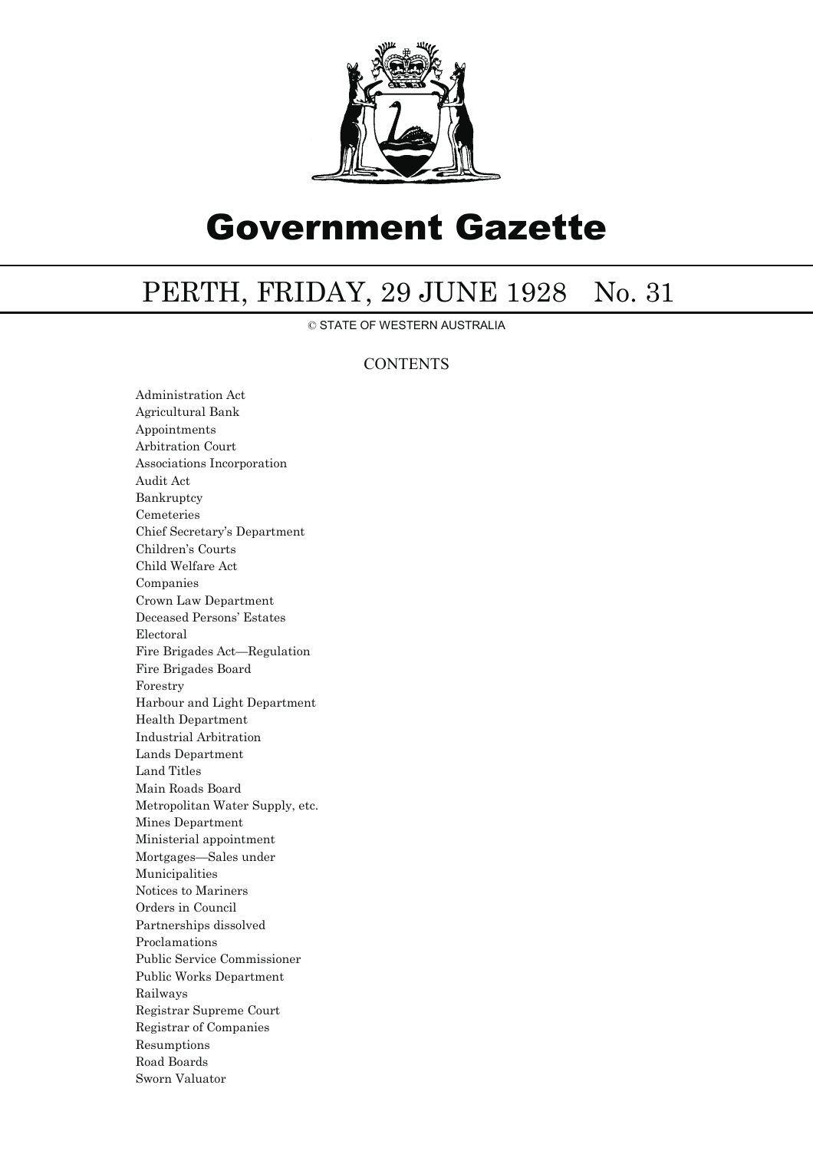

# Government Gazette

## PERTH, FRIDAY, 29 JUNE 1928 No. 31

© STATE OF WESTERN AUSTRALIA

## **CONTENTS**

Administration Act Agricultural Bank Appointments Arbitration Court Associations Incorporation Audit Act Bankruptcy Cemeteries Chief Secretary's Department Children's Courts Child Welfare Act Companies Crown Law Department Deceased Persons' Estates Electoral Fire Brigades Act—Regulation Fire Brigades Board Forestry Harbour and Light Department Health Department Industrial Arbitration Lands Department Land Titles Main Roads Board Metropolitan Water Supply, etc. Mines Department Ministerial appointment Mortgages—Sales under Municipalities Notices to Mariners Orders in Council Partnerships dissolved Proclamations Public Service Commissioner Public Works Department Railways Registrar Supreme Court Registrar of Companies Resumptions Road Boards Sworn Valuator